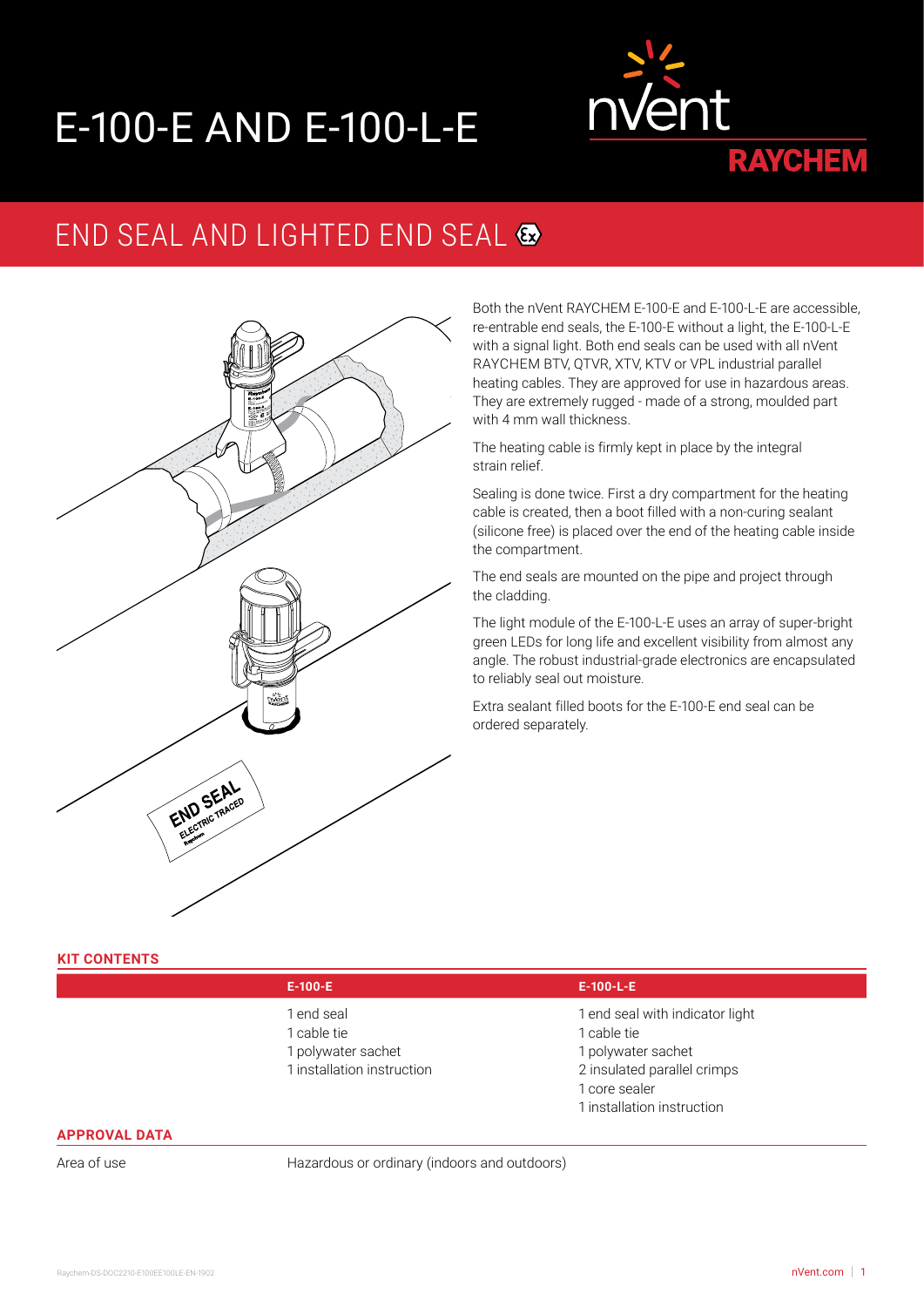# E-100-E AND E-100-L-E



## END SEAL AND LIGHTED END SEAL &



Both the nVent RAYCHEM E-100-E and E-100-L-E are accessible, re-entrable end seals, the E-100-E without a light, the E-100-L-E with a signal light. Both end seals can be used with all nVent RAYCHEM BTV, QTVR, XTV, KTV or VPL industrial parallel heating cables. They are approved for use in hazardous areas. They are extremely rugged - made of a strong, moulded part with 4 mm wall thickness.

The heating cable is firmly kept in place by the integral strain relief.

Sealing is done twice. First a dry compartment for the heating cable is created, then a boot filled with a non-curing sealant (silicone free) is placed over the end of the heating cable inside the compartment.

The end seals are mounted on the pipe and project through the cladding.

The light module of the E-100-L-E uses an array of super-bright green LEDs for long life and excellent visibility from almost any angle. The robust industrial-grade electronics are encapsulated to reliably seal out moisture.

Extra sealant filled boots for the E-100-E end seal can be ordered separately.

### **KIT CONTENTS**

- 1 end seal
- 1 cable tie
- 1 polywater sachet
- 1 installation instruction

#### **E-100-E E-100-L-E**

- 1 end seal with indicator light
- 1 cable tie
- 1 polywater sachet
- 2 insulated parallel crimps
- 1 core sealer
- 1 installation instruction

#### **APPROVAL DATA**

Area of use **Hazardous or ordinary (indoors and outdoors)**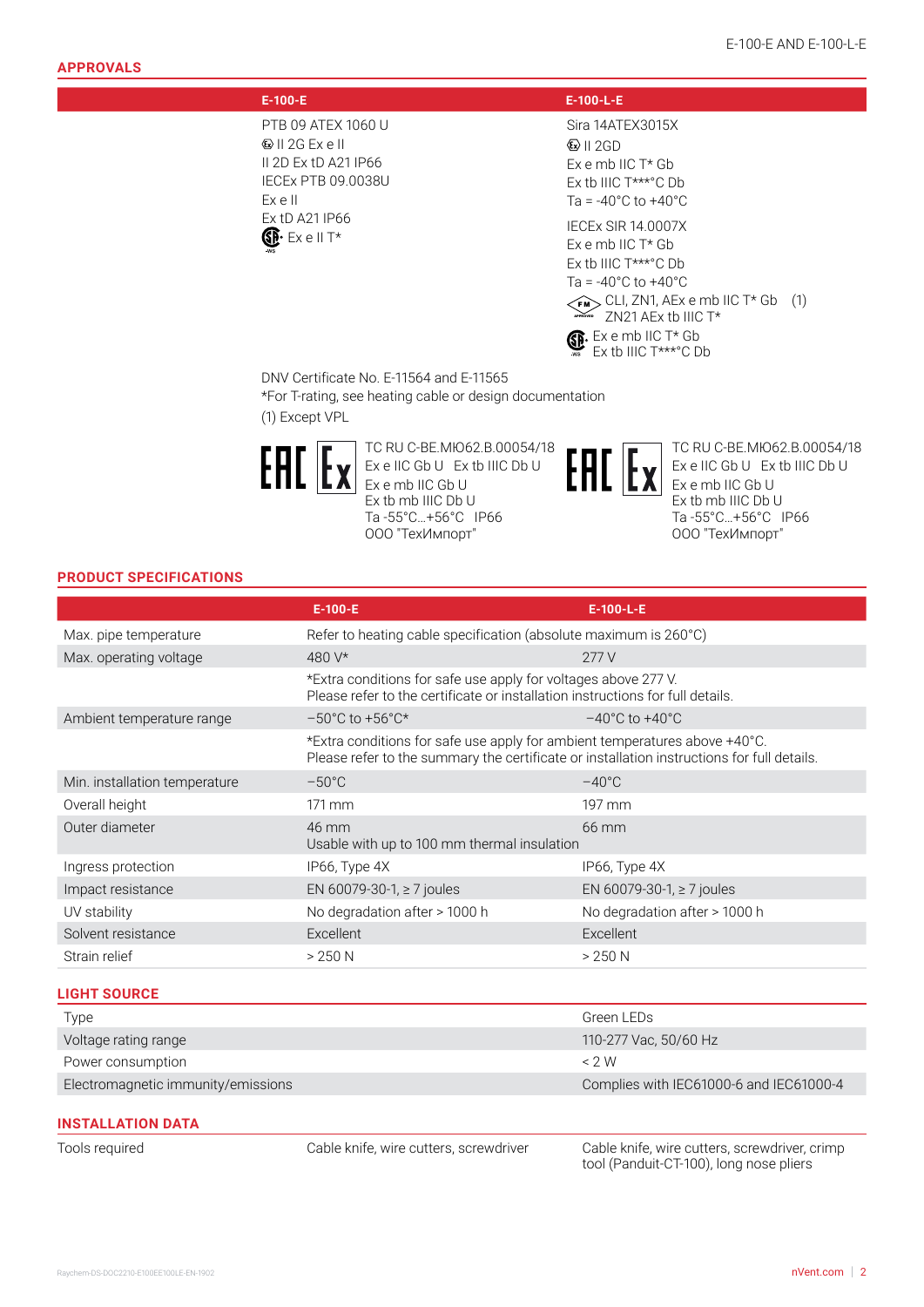PTB 09 ATEX 1060 U II 2G Ex e II II 2D Ex tD A21 IP66 IECEx PTB 09.0038U Ex e II Ex tD A21 IP66  $\mathbb{S}\mathbb{R}^*$  Ex e II T\*

#### **E-100-E E-100-L-E**

Sira 14ATEX3015X  $\bigotimes$  II 2GD Ex e mb IIC T\* Gb Ex tb IIIC T\*\*\*°C Db  $Ta = -40°C$  to  $+40°C$ 

IECEx SIR 14.0007X Ex e mb IIC T\* Gb Ex tb IIIC T\*\*\*°C Db Ta = -40°C to +40°C  $\widetilde{f_{\text{NN}}}$  CLI, ZN1, AEx e mb IIC T\* Gb  $(1)$ <br> $\widetilde{f_{\text{NN}}}$   $\widetilde{f_{\text{NN}}}$   $\widetilde{f_{\text{NN}}}$  the IIC T\*  $\mathbf{B}$  Ex e mb IIC T\* Gb ZN21 AEx tb IIIC T\* Ex tb IIIC T\*\*\*°C Db

DNV Certificate No. E-11564 and E-11565

\*For T-rating, see heating cable or design documentation (1) Except VPL



ТС RU C-BE.МЮ62.В.00054/18 Ex e IIC Gb U Ex tb IIIC Db U Ex e mb IIC Gb U Ex tb mb IIIC Db U Ta -55°C…+56°C IP66 ООО "ТехИмпорт"



ТС RU C-BE.МЮ62.В.00054/18 Ex e IIC Gb U Ex tb IIIC Db U Ex e mb IIC Gb U Ex tb mb IIIC Db U Ta -55°C…+56°C IP66 ООО "ТехИмпорт"

#### **PRODUCT SPECIFICATIONS**

|                                    | $E-100-E$                                                                                                                                                                | $E-100-L-E$                             |
|------------------------------------|--------------------------------------------------------------------------------------------------------------------------------------------------------------------------|-----------------------------------------|
| Max. pipe temperature              | Refer to heating cable specification (absolute maximum is 260°C)                                                                                                         |                                         |
| Max. operating voltage             | 480 V*                                                                                                                                                                   | 277V                                    |
|                                    | *Extra conditions for safe use apply for voltages above 277 V.<br>Please refer to the certificate or installation instructions for full details.                         |                                         |
| Ambient temperature range          | $-50^{\circ}$ C to $+56^{\circ}$ C*                                                                                                                                      | $-40^{\circ}$ C to $+40^{\circ}$ C      |
|                                    | *Extra conditions for safe use apply for ambient temperatures above +40°C.<br>Please refer to the summary the certificate or installation instructions for full details. |                                         |
| Min. installation temperature      | $-50^{\circ}$ C                                                                                                                                                          | $-40^{\circ}$ C                         |
| Overall height                     | $171 \,\mathrm{mm}$                                                                                                                                                      | 197 mm                                  |
| Outer diameter                     | 46 mm<br>Usable with up to 100 mm thermal insulation                                                                                                                     | 66 mm                                   |
| Ingress protection                 | IP66, Type 4X                                                                                                                                                            | IP66, Type 4X                           |
| Impact resistance                  | EN 60079-30-1, ≥ 7 joules                                                                                                                                                | EN 60079-30-1, $\geq$ 7 joules          |
| UV stability                       | No degradation after > 1000 h                                                                                                                                            | No degradation after > 1000 h           |
| Solvent resistance                 | Excellent                                                                                                                                                                | Excellent                               |
| Strain relief                      | $>250$ N                                                                                                                                                                 | $>250$ N                                |
| <b>LIGHT SOURCE</b>                |                                                                                                                                                                          |                                         |
| Type                               |                                                                                                                                                                          | Green LEDs                              |
| Voltage rating range               |                                                                                                                                                                          | 110-277 Vac, 50/60 Hz                   |
| Power consumption                  |                                                                                                                                                                          | < 2 W                                   |
| Electromagnetic immunity/emissions |                                                                                                                                                                          | Complies with IEC61000-6 and IEC61000-4 |
|                                    |                                                                                                                                                                          |                                         |

#### **INSTALLATION DATA**

Tools required Cable knife, wire cutters, screwdriver Cable knife, wire cutters, screwdriver, crimp tool (Panduit-CT-100), long nose pliers